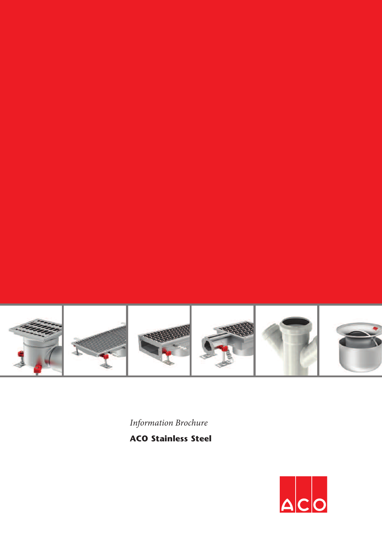

*Information Brochure*

**ACO Stainless Steel**

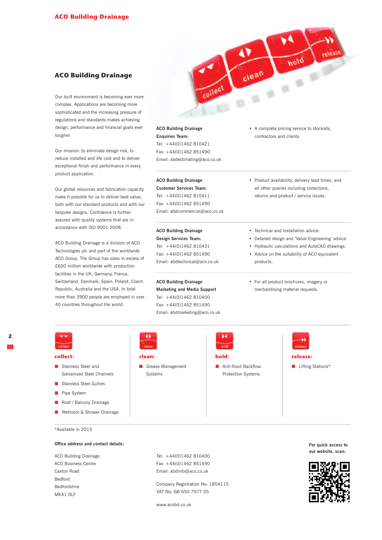# **ACO Building Drainage**

Our built environment is becoming ever more complex. Applications are becoming more sophisticated and the increasing pressure of regulations and standards makes achieving design, performance and financial goals ever tougher.

Our mission: to eliminate design risk, to reduce installed and life cost and to deliver exceptional finish and performance in every product application.

Our global resources and fabrication capacity make it possible for us to deliver best value, both with our standard products and with our bespoke designs. Confidence is further assured with quality systems that are in accordance with ISO 9001-2008.

ACO Building Drainage is a division of ACO Technologies plc and part of the worldwide ACO Group. The Group has sales in excess of £600 million worldwide with production facilities in the UK, Germany, France, Switzerland, Denmark, Spain, Poland, Czech Republic, Australia and the USA. In total more than 3900 people are employed in over 40 countries throughout the world.

## **ACO Building Drainage**

**Enquiries Team:** Tel: +44(0)1462 810421 Fax: +44(0)1462 851490 Email: abdestimating@aco.co.uk

## **ACO Building Drainage**

**Customer Services Team:** Tel: +44(0)1462 810411 Fax: +44(0)1462 851490 Email: abdcommercial@aco.co.uk

**ACO Building Drainage Design Services Team:** Tel: +44(0)1462 810431 Fax: +44(0)1462 851490 Email: abdtechnical@aco.co.uk

## **ACO Building Drainage Marketing and Media Support** Tel: +44(0)1462 810400 Fax: +44(0)1462 851490

**clean:**

Grease Management Systems

Email: abdmarketing@aco.co.uk

**hold:**

**Anti-flood Backflow** Protection Systems

• A complete pricing service to stockists, contractors and clients.

hold

ý.

clean

• Product availability, delivery lead times, and all other queries including collections, returns and product / service issues.

#### • Technical and installation advice.

- Detailed design and 'Value Engineering' advice.
- Hydraulic calculations and AutoCAD drawings.
- Advice on the suitability of ACO equivalent products.

**release:**

**Lifting Stations\*** 

• For all product brochures, imagery or mechandising material requests.

## **collect:**

- Stainless Steel and Galvanised Steel Channels
- Stainless Steel Gullies
- **Pipe System**
- Roof / Balcony Drainage
- **Wetroom & Shower Drainage**

\*Available in 2015

#### **Office address and contact details:**

ACO Building Drainage ACO Business Centre Caxton Road Bedford Bedfordshire MK41 0LF

Tel: +44(0)1462 810400 Fax: +44(0)1462 851490 Email: abdinfo@aco.co.uk

Company Registration No: 1854115 VAT No: GB 650 7977 05

www.acobd.co.uk

**For quick access to our website, scan:**

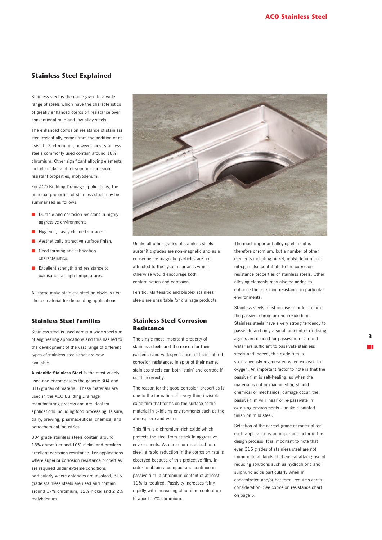# **Stainless Steel Explained**

Stainless steel is the name given to a wide range of steels which have the characteristics of greatly enhanced corrosion resistance over conventional mild and low alloy steels.

The enhanced corrosion resistance of stainless steel essentially comes from the addition of at least 11% chromium, however most stainless steels commonly used contain around 18% chromium. Other significant alloying elements include nickel and for superior corrosion resistant properties, molybdenum.

For ACO Building Drainage applications, the principal properties of stainless steel may be summarised as follows:

- Durable and corrosion resistant in highly aggressive environments.
- Hygienic, easily cleaned surfaces.
- Aesthetically attractive surface finish.
- Good forming and fabrication characteristics.
- Excellent strength and resistance to oxidisation at high temperatures.

All these make stainless steel an obvious first choice material for demanding applications.

# **Stainless Steel Families**

Stainless steel is used across a wide spectrum of engineering applications and this has led to the development of the vast range of different types of stainless steels that are now available.

**Austenitic Stainless Steel** is the most widely used and encompasses the generic 304 and 316 grades of material. These materials are used in the ACO Building Drainage manufacturing process and are ideal for applications including food processing, leisure, dairy, brewing, pharmaceutical, chemical and petrochemical industries.

304 grade stainless steels contain around 18% chromium and 10% nickel and provides excellent corrosion resistance. For applications where superior corrosion resistance properties are required under extreme conditions particularly where chlorides are involved, 316 grade stainless steels are used and contain around 17% chromium, 12% nickel and 2.2% molybdenum.



Unlike all other grades of stainless steels, austenitic grades are non-magnetic and as a consequence magnetic particles are not attracted to the system surfaces which otherwise would encourage both contamination and corrosion.

Ferritic, Martensitic and bluplex stainless steels are unsuitable for drainage products.

## **Stainless Steel Corrosion Resistance**

The single most important property of stainless steels and the reason for their existence and widespread use, is their natural corrosion resistance. In spite of their name, stainless steels can both 'stain' and corrode if used incorrectly.

The reason for the good corrosion properties is due to the formation of a very thin, invisible oxide film that forms on the surface of the material in oxidising environments such as the atmosphere and water.

This film is a chromium-rich oxide which protects the steel from attack in aggressive environments. As chromium is added to a steel, a rapid reduction in the corrosion rate is observed because of this protective film. In order to obtain a compact and continuous passive film, a chromium content of at least 11% is required. Passivity increases fairly rapidly with increasing chromium content up to about 17% chromium.

The most important alloying element is therefore chromium, but a number of other elements including nickel, molybdenum and nitrogen also contribute to the corrosion resistance properties of stainless steels. Other alloying elements may also be added to enhance the corrosion resistance in particular environments.

Stainless steels must oxidise in order to form the passive, chromium-rich oxide film. Stainless steels have a very strong tendency to passivate and only a small amount of oxidising agents are needed for passivation - air and water are sufficient to passivate stainless steels and indeed, this oxide film is spontaneously regenerated when exposed to oxygen. An important factor to note is that the passive film is self-healing, so when the material is cut or machined or, should chemical or mechanical damage occur, the passive film will 'heal' or re-passivate in oxidising environments - unlike a painted finish on mild steel.

Selection of the correct grade of material for each application is an important factor in the design process. It is important to note that even 316 grades of stainless steel are not immune to all kinds of chemical attack; use of reducing solutions such as hydrochloric and sulphuric acids particularly when in concentrated and/or hot form, requires careful consideration. See corrosion resistance chart on page 5.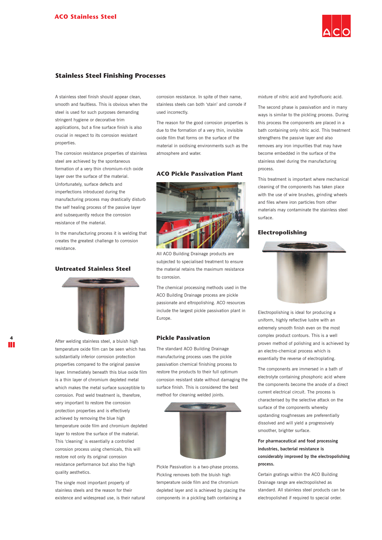

# **Stainless Steel Finishing Processes**

A stainless steel finish should appear clean, smooth and faultless. This is obvious when the steel is used for such purposes demanding stringent hygiene or decorative trim applications, but a fine surface finish is also crucial in respect to its corrosion resistant properties.

The corrosion resistance properties of stainless steel are achieved by the spontaneous formation of a very thin chromium-rich oxide layer over the surface of the material. Unfortunately, surface defects and imperfections introduced during the manufacturing process may drastically disturb the self healing process of the passive layer and subsequently reduce the corrosion resistance of the material.

In the manufacturing process it is welding that creates the greatest challenge to corrosion resistance.

# **Untreated Stainless Steel**



After welding stainless steel, a bluish high temperature oxide film can be seen which has substantially inferior corrosion protection properties compared to the original passive layer. Immediately beneath this blue oxide film is a thin layer of chromium depleted metal which makes the metal surface susceptible to corrosion. Post weld treatment is, therefore, very important to restore the corrosion protection properties and is effectively achieved by removing the blue high temperature oxide film and chromium depleted layer to restore the surface of the material. This 'cleaning' is essentially a controlled corrosion process using chemicals, this will restore not only its original corrosion resistance performance but also the high quality aesthetics.

The single most important property of stainless steels and the reason for their existence and widespread use, is their natural corrosion resistance. In spite of their name, stainless steels can both 'stain' and corrode if used incorrectly.

The reason for the good corrosion properties is due to the formation of a very thin, invisible oxide film that forms on the surface of the material in oxidising environments such as the atmosphere and water.

## **ACO Pickle Passivation Plant**



All ACO Building Drainage products are subjected to specialised treatment to ensure the material retains the maximum resistance to corrosion.

The chemical processing methods used in the ACO Building Drainage process are pickle passionate and eltropolishing. ACO resources include the largest pickle passivation plant in Europe.

#### **Pickle Passivation**

The standard ACO Building Drainage manufacturing process uses the pickle passivation chemical finishing process to restore the products to their full optimum corrosion resistant state without damaging the surface finish. This is considered the best method for cleaning welded joints.



Pickle Passivation is a two-phase process. Pickling removes both the bluish high temperature oxide film and the chromium depleted layer and is achieved by placing the components in a pickling bath containing a

mixture of nitric acid and hydrofluoric acid.

The second phase is passivation and in many ways is similar to the pickling process. During this process the components are placed in a bath containing only nitric acid. This treatment strengthens the passive layer and also removes any iron impurities that may have become embedded in the surface of the stainless steel during the manufacturing process.

This treatment is important where mechanical cleaning of the components has taken place with the use of wire brushes, grinding wheels and files where iron particles from other materials may contaminate the stainless steel surface.

## **Electropolishing**



Electropolishing is ideal for producing a uniform, highly reflective lustre with an extremely smooth finish even on the most complex product contours. This is a well proven method of polishing and is achieved by an electro-chemical process which is essentially the reverse of electroplating.

The components are immersed in a bath of electrolyte containing phosphoric acid where the components become the anode of a direct current electrical circuit. The process is characterised by the selective attack on the surface of the components whereby upstanding roughnesses are preferentially dissolved and will yield a progressively smoother, brighter surface.

**For pharmaceutical and food processing industries, bacterial resistance is considerably improved by the electropolishing process.**

Certain gratings within the ACO Building Drainage range are electropolished as standard. All stainless steel products can be electropolished if required to special order.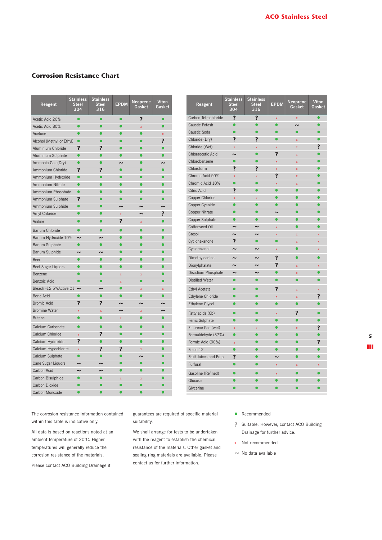# **Corrosion Resistance Chart**

| Reagent                   | <b>Stainless</b><br><b>Steel</b><br>304 | <b>Stainless</b><br><b>Steel</b><br>316 | <b>EPDM</b>             | <b>Neoprene</b><br>Gasket | <b>Viton</b><br>Gasket |
|---------------------------|-----------------------------------------|-----------------------------------------|-------------------------|---------------------------|------------------------|
| Acetic Acid 20%           | $\bullet$                               |                                         | $\bullet$               | ?                         | $\bullet$              |
| Acetic Acid 80%           | $\bullet$                               |                                         | $\bullet$               | x                         | $\bullet$              |
| Acetone                   | $\bullet$                               |                                         |                         |                           | $\bar{\mathbf{x}}$     |
| Alcohol (Methyl or Ethyl) | $\bullet$                               |                                         |                         |                           | ?                      |
| Aluminium Chloride        | ?                                       | 7                                       |                         |                           |                        |
| Aluminium Sulphate        | $\bullet$                               |                                         |                         |                           |                        |
| Ammonia Gas (Dry)         | ō                                       |                                         | $\sim$                  |                           | w                      |
| Ammonium Chloride         | $\overline{\mathbf{r}}$                 | $\overline{\mathbf{r}}$                 | ō                       |                           | $\bullet$              |
| Ammonium Hydroxide        | $\bullet$                               |                                         |                         |                           |                        |
| Ammonium Nitrate          | ō                                       |                                         |                         |                           |                        |
| Ammonium Phosphate        | $\bullet$                               |                                         |                         |                           |                        |
| Ammonium Sulphate         | ?                                       |                                         | ä                       |                           |                        |
| Ammonium Sulphide         | $\bullet$                               |                                         | $\sim$                  | $\tilde{\phantom{a}}$     | $\sim$                 |
| Amyl Chloride             |                                         |                                         | $\overline{\mathbf{x}}$ | $\tilde{\phantom{a}}$     | ?                      |
| Aniline                   |                                         |                                         | ?                       | $\mathbf{x}$              |                        |
| Barium Chloride           | $\bullet$                               | ō                                       |                         | ō                         |                        |
| Barium Hydroxide 10%      | $\tilde{ }$                             | $\tilde{\phantom{a}}$                   |                         |                           |                        |
| Barium Sulphate           | $\bullet$                               | $\bullet$                               |                         |                           |                        |
| Barium Sulphide           | $\tilde{ }$                             | ∼                                       |                         |                           |                        |
| Beer                      |                                         |                                         |                         |                           |                        |
| Beet Sugar Liquors        | ō                                       |                                         |                         |                           |                        |
| Benzene                   | ō                                       | $\bullet$                               | $\bar{x}$               | $\bar{x}$                 |                        |
| <b>Benzoic Acid</b>       |                                         |                                         | $\bar{x}$               |                           |                        |
| Bleach -12.5% Active C1   | $\tilde{ }$                             | ∼                                       | $\bullet$               | x                         | x                      |
| <b>Boric Acid</b>         | $\bullet$                               | $\bullet$                               | $\bullet$               |                           |                        |
| Bromic Acid               | ?                                       | ?                                       | $\sim$                  | $\sim$                    | $\sim$                 |
| <b>Bromine Water</b>      | $\bar{x}$                               | $\overline{\mathbf{x}}$                 | $\sim$                  | x                         | $\sim$                 |
| <b>Butane</b>             | $\bullet$                               | $\bullet$                               | $\bar{\mathbf{x}}$      | $\bullet$                 | $\bullet$              |
| Calcium Carbonate         | ō                                       | ō                                       | ō                       |                           |                        |
| Calcium Chloride          | $\bar{x}$                               | ?                                       | $\bullet$               |                           |                        |
| Calcium Hydroxide         | ?                                       |                                         | ▲                       |                           |                        |
| Calcium Hypochlorite      | $\bar{x}$                               | ?                                       | ?                       | x                         |                        |
| Calcium Sulphate          | $\bullet$                               |                                         |                         | $\tilde{\phantom{a}}$     |                        |
| Cane Sugar Liquors        | $\sim$                                  |                                         |                         |                           |                        |
| Carbon Acid               | $\tilde{ }$                             |                                         |                         |                           |                        |
| Carbon Bisulphide         | $\bullet$                               | $\bullet$                               | $\overline{\mathbf{x}}$ | x                         |                        |
| Carbon Dioxide            |                                         |                                         | ō                       |                           |                        |
| Carbon Monoxide           |                                         |                                         |                         |                           |                        |

| Reagent                | <b>Stainless</b><br><b>Steel</b><br>304 | <b>Stainless</b><br><b>Steel</b><br>316 | <b>EPDM</b>             | <b>Neoprene</b><br>Gasket | Viton<br>Gasket |
|------------------------|-----------------------------------------|-----------------------------------------|-------------------------|---------------------------|-----------------|
| Carbon Tetrachloride   | ?                                       | ?                                       | $\bar{\mathbf{x}}$      | $\bar{\mathbf{x}}$        | $\bullet$       |
| Caustic Potash         | $\bullet$                               | $\bullet$                               | $\bullet$               | $\sim$                    | $\bullet$       |
| Caustic Soda           | $\bullet$                               | $\bullet$                               |                         | $\bullet$                 |                 |
| Chloride (Dry)         | ?                                       | ?                                       |                         | $\overline{\mathbf{x}}$   |                 |
| Chloride (Wet)         | $\bar{\mathbf{x}}$                      | x                                       | X                       | x                         | ?               |
| Chloraocetic Acid      | $\sim$                                  |                                         | 7                       | $\overline{\mathbf{x}}$   |                 |
| Chlorobenzene          | $\bullet$                               | $\bullet$                               | $\bar{x}$               | $\overline{\mathbf{x}}$   |                 |
| Chloroform             | ?                                       | ?                                       | x                       | x                         |                 |
| Chrome Acid 50%        | $\bar{\mathbf{x}}$                      | x                                       | ?                       | x                         |                 |
| Chromic Acid 10%       | ō                                       | ō                                       | Ÿ                       | x                         |                 |
| Citric Acid            | ?                                       | $\bullet$                               |                         |                           |                 |
| Copper Chloride        | $\overline{\mathbf{x}}$                 | $\bar{x}$                               |                         |                           |                 |
| Copper Cyanide         | ō                                       | $\bullet$                               |                         |                           |                 |
| <b>Copper Nitrate</b>  | $\bullet$                               | Ō                                       | ∼                       |                           |                 |
| Copper Sulphate        | $\bullet$                               | $\bullet$                               | $\bullet$               |                           |                 |
| Cottonseed Oil         | $\tilde{ }$                             | $\tilde{ }$                             | x                       |                           |                 |
| Cresol                 | $\tilde{ }$                             | $\tilde{ }$                             | x                       | x                         | x               |
| Cyclohexanone          | ?                                       | $\bullet$                               |                         | x                         | x               |
| Cyclorexanol           | $\sim$                                  | $\sim$                                  | $\bar{x}$               |                           | $\bar{x}$       |
| Dimethyleanine         | $\tilde{ }$                             | $\tilde{ }$                             | ?                       |                           |                 |
| Dionylphalate          | $\tilde{ }$                             | $\tilde{ }$                             | ?                       | $\bar{x}$                 | X               |
| Disodium Phosphate     | $\sim$                                  | $\sim$                                  |                         | $\bar{\mathbf{x}}$        |                 |
| <b>Distilled Water</b> | $\bullet$                               | $\bullet$                               |                         | ō                         |                 |
| <b>Ethyl Acetate</b>   | $\bullet$                               | $\bullet$                               | ?                       | $\overline{\mathbf{x}}$   | x               |
| Ethylene Chloride      | $\bullet$                               |                                         | $\bar{x}$               | $\overline{\mathbf{x}}$   | ?               |
| Ethylene Glycol        | ō                                       |                                         | $\bullet$               |                           |                 |
| Fatty acids (Cb)       |                                         |                                         | x                       | ?                         |                 |
| Ferric Sulphate        |                                         |                                         |                         |                           |                 |
| Fluorene Gas (wet)     | $\bar{x}$                               | $\bar{x}$                               |                         | $\bar{x}$                 | ?               |
| Formaldehyde (37%)     | ō                                       | ō                                       |                         |                           |                 |
| Formic Acid (90%)      | $\bar{\mathbf{x}}$                      |                                         |                         |                           | ?               |
| Freon 12               | ō                                       |                                         |                         |                           |                 |
| Fruit Juices and Pulp  | ?                                       |                                         | $\tilde{\phantom{a}}$   |                           |                 |
| Furfural               | $\bullet$                               |                                         | $\overline{\mathbf{x}}$ | $\overline{\mathbf{x}}$   | x               |
| Gasoline (Refined)     |                                         |                                         | x                       |                           |                 |
| Glucose                |                                         |                                         |                         |                           |                 |
| Glycerine              |                                         |                                         |                         |                           |                 |

The corrosion resistance information contained within this table is indicative only.

All data is based on reactions noted at an ambient temperature of 20°C. Higher temperatures will generally reduce the corrosion resistance of the materials.

Please contact ACO Building Drainage if

guarantees are required of specific material suitability.

We shall arrange for tests to be undertaken with the reagent to establish the chemical resistance of the materials. Other gasket and sealing ring materials are available. Please contact us for further information.

- **•** Recommended
- **?**Suitable. However, contact ACO Building Drainage for further advice.
- xNot recommended
- *~* No data available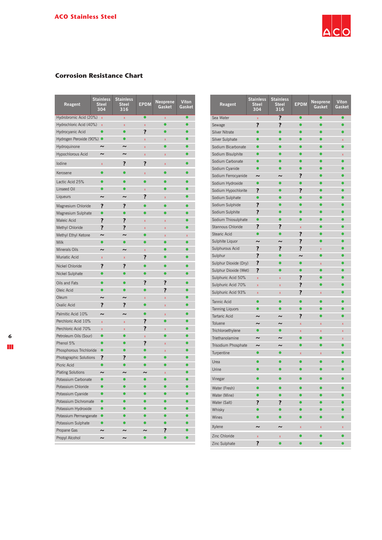

# **Corrosion Resistance Chart**

| Reagent                   | <b>Stainless</b><br><b>Steel</b><br>304 | <b>Stainless</b><br><b>Steel</b><br>316 | <b>EPDM</b>             | <b>Neoprene</b><br>Gasket | <b>Viton</b><br>Gasket  |
|---------------------------|-----------------------------------------|-----------------------------------------|-------------------------|---------------------------|-------------------------|
| Hydrobromic Acid (20%)    | x                                       | x                                       | $\bullet$               | X                         | $\bullet$               |
| Hydrochloric Acid (40%)   | x                                       | X                                       | X                       | $\bullet$                 | $\bullet$               |
| Hydrocyanic Acid          | $\bullet$                               | $\bullet$                               | ?                       |                           |                         |
| Hydrogen Peroxide (90%) ● |                                         |                                         | $\bar{\mathbf{x}}$      | X                         |                         |
| Hydroquinone              |                                         | $\tilde{\phantom{a}}$                   | $\overline{\mathbf{x}}$ |                           |                         |
| Hypochlorous Acid         | $\tilde{\phantom{a}}$                   | ∼                                       | x                       | X                         |                         |
| lodine                    | X                                       | ?                                       | ?                       | X                         |                         |
| Kerosene                  |                                         |                                         | X                       |                           |                         |
| Lactic Acid 25%           |                                         |                                         |                         |                           |                         |
| Linseed Oil               |                                         |                                         | $\bar{\mathbf{X}}$      |                           |                         |
| Liqueurs                  | $\tilde{ }$                             | $\tilde{\phantom{a}}$                   | ?                       | X                         |                         |
| Magnesium Chloride        | ?                                       | ?                                       | $\bullet$               |                           |                         |
| Magnesium Sulphate        | $\bullet$                               |                                         |                         |                           |                         |
| Maleic Acid               | ?                                       | 7                                       | x                       | x                         |                         |
| Methyl Chloride           | ?                                       | ?                                       | X                       | X                         |                         |
| Methyl Ethyl Ketone       | $\tilde{\phantom{a}}$                   | $\tilde{\phantom{a}}$                   |                         | $\overline{\mathbf{x}}$   | $\overline{\mathbf{x}}$ |
| Milk                      |                                         |                                         |                         |                           |                         |
| <b>Minerals Oils</b>      |                                         | $\tilde{\phantom{a}}$                   | $\overline{\mathbf{x}}$ |                           |                         |
| Muriatic Acid             | x                                       | x                                       | ?                       |                           |                         |
| Nickel Chloride           | ?                                       | ?                                       |                         |                           |                         |
| Nickel Sulphate           |                                         |                                         |                         |                           |                         |
| Oils and Fats             |                                         |                                         | ?                       | ?                         |                         |
| Oleic Acid                |                                         |                                         | ō                       | ?                         |                         |
| Oleum                     |                                         | $\tilde{\phantom{a}}$                   | $\overline{\mathbf{x}}$ | x                         |                         |
| Oxalic Acid               | ?                                       | ?                                       | $\bullet$               | X                         |                         |
| Palmitic Acid 10%         | $\tilde{\phantom{a}}$                   | $\tilde{ }$                             | $\bullet$               | X                         |                         |
| Perchloric Acid 10%       | $\bar{x}$                               | x                                       | ?                       |                           |                         |
| Perchloric Acid 70%       | x                                       | x                                       | ?                       | X                         |                         |
| Petroleum Oils (Sour)     | $\bullet$                               | $\bullet$                               | x                       | $\bullet$                 |                         |
| Phenol 5%                 |                                         |                                         | ?                       | X                         |                         |
| Phosphorous Trichloride   | $\bullet$                               |                                         |                         | $\overline{\mathbf{x}}$   |                         |
| Photographic Solutions    | ?                                       | 7                                       |                         |                           |                         |
| Picric Acid               |                                         |                                         |                         |                           |                         |
| <b>Plating Solutions</b>  | $\tilde{\phantom{a}}$                   |                                         |                         | X                         |                         |
| Potassium Carbonate       |                                         |                                         |                         |                           |                         |
| Potassium Chloride        |                                         |                                         |                         |                           |                         |
| Potassium Cyanide         |                                         |                                         |                         |                           |                         |
| Potassium Dichromate      |                                         |                                         |                         |                           |                         |
| Potassium Hydroxide       |                                         |                                         |                         |                           |                         |
| Potassium Permanganate    |                                         |                                         |                         |                           |                         |
| Potassium Sulphate        | $\bullet$                               |                                         |                         |                           |                         |
| Propane Gas               | $\tilde{}$                              |                                         |                         | ?                         |                         |
| Propyl Alcohol            | $\tilde{\phantom{a}}$                   |                                         |                         |                           |                         |

| Reagent                | <b>Stainless</b><br><b>Steel</b><br>304 | <b>Stainless</b><br><b>Steel</b><br>316 | <b>EPDM</b>             | <b>Neoprene</b><br>Gasket | <b>Viton</b><br>Gasket  |
|------------------------|-----------------------------------------|-----------------------------------------|-------------------------|---------------------------|-------------------------|
| Sea Water              | $\bar{\mathbf{x}}$                      | ?                                       | $\bullet$               | $\bullet$                 | $\bullet$               |
| Sewage                 | $\overline{\mathbf{r}}$                 | ?                                       |                         | ō                         | $\bullet$               |
| <b>Silver Nitrate</b>  | $\bullet$                               | ō                                       |                         |                           |                         |
| Silver Sulphate        |                                         |                                         |                         |                           | x                       |
| Sodium Bicarbonate     |                                         |                                         |                         |                           |                         |
| Sodium Bisulphite      |                                         |                                         |                         |                           | $\bar{\mathbf{x}}$      |
| Sodium Carbonate       | ō                                       | ė                                       |                         |                           |                         |
| Sodium Cyanide         | $\bullet$                               | ō                                       |                         |                           |                         |
| Sodium Ferrocyanide    | $\tilde{\phantom{a}}$                   | $\tilde{\phantom{a}}$                   | ?                       |                           |                         |
| Sodium Hydroxide       | $\bullet$                               | $\bullet$                               | $\bullet$               | $\bullet$                 |                         |
| Sodium Hypochlorite    | ?                                       |                                         | ?                       |                           |                         |
| Sodium Sulphate        | $\bullet$                               |                                         |                         |                           |                         |
| Sodium Sulphide        | ?                                       |                                         |                         |                           |                         |
| Sodium Sulphite        | ?                                       |                                         |                         |                           |                         |
| Sodium Thiosulphate    | $\bullet$                               |                                         |                         |                           |                         |
| Stannous Chloride      | ?                                       | ?                                       | $\bar{\mathbf{X}}$      |                           |                         |
| Stearic Acid           | ō                                       | ō                                       | ?                       |                           |                         |
| Sulphite Liquor        | $\tilde{ }$                             | $\tilde{ }$                             | ?                       | $\bullet$                 |                         |
| Sulphurous Acid        | $\overline{\mathbf{r}}$                 | $\overline{\mathbf{r}}$                 | ?                       | $\bar{x}$                 |                         |
| Sulphur                | $\overline{\mathbf{?}}$                 | $\bullet$                               | $\tilde{ }$             | $\bullet$                 |                         |
| Sulphur Dioxide (Dry)  | ?                                       |                                         | ō                       | $\bar{\mathbf{x}}$        |                         |
| Sulphur Dioxide (Wet)  | ?                                       | ●                                       |                         | $\bullet$                 |                         |
| Sulphuric Acid 50%     | $\overline{\mathbf{x}}$                 | $\overline{\mathbf{x}}$                 | ?                       |                           |                         |
| Sulphuric Acid 70%     | $\overline{\mathbf{x}}$                 | $\overline{\mathbf{x}}$                 | ?                       |                           |                         |
| Sulphuric Acid 93%     | x                                       | x                                       | ?                       | $\bar{\mathbf{x}}$        |                         |
| <b>Tannic Acid</b>     |                                         |                                         | ⋒                       |                           |                         |
| <b>Tanning Liquors</b> | $\bullet$                               |                                         |                         |                           |                         |
| <b>Tartaric Acid</b>   | $\tilde{\phantom{a}}$                   | $\tilde{\phantom{a}}$                   | ?                       |                           |                         |
| Toluene                | $\sim$                                  | $\sim$                                  | $\overline{\mathbf{x}}$ | $\overline{\mathbf{x}}$   | $\overline{\mathbf{x}}$ |
| Trichloroethylene      |                                         | ō                                       | x                       | $\bar{\mathbf{x}}$        | $\bar{\mathbf{x}}$      |
| Triethanolamine        | $\tilde{ }$                             | $\tilde{\phantom{a}}$                   | ō                       | $\bullet$                 | $\overline{\mathbf{x}}$ |
| Trisodium Phosphate    | $\tilde{\phantom{a}}$                   | $\tilde{\phantom{a}}$                   |                         | $\bullet$                 |                         |
| Turpentine             | $\bullet$                               | $\bullet$                               | x                       | x                         |                         |
| Urea                   |                                         |                                         |                         |                           |                         |
| Urine                  |                                         |                                         |                         |                           |                         |
| Vinegar                |                                         |                                         |                         |                           |                         |
| Water (Fresh)          |                                         |                                         |                         | $\bullet$                 |                         |
| Water (Mine)           |                                         |                                         |                         |                           |                         |
| Water (Salt)           | ?                                       | ?                                       |                         |                           |                         |
| Whisky                 |                                         | Ō                                       |                         |                           |                         |
| Wines                  |                                         |                                         |                         | $\bullet$                 |                         |
| Xylene                 | $\tilde{ }$                             | $\tilde{ }$                             | $\bar{\mathbf{X}}$      | $\bar{\mathbf{X}}$        | X                       |
| Zinc Chloride          | $\bar{\mathbf{X}}$                      | X                                       |                         |                           |                         |
| Zinc Sulphate          | ?                                       |                                         |                         |                           |                         |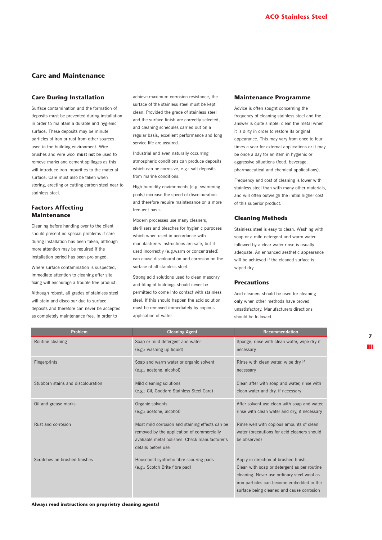# **Care and Maintenance**

## **Care During Installation**

Surface contamination and the formation of deposits must be prevented during installation in order to maintain a durable and hygienic surface. These deposits may be minute particles of iron or rust from other sources used in the building environment. Wire brushes and wire wool **must not** be used to remove marks and cement spillages as this will introduce iron impurities to the material surface. Care must also be taken when storing, erecting or cutting carbon steel near to stainless steel.

# **Factors Affecting Maintenance**

Cleaning before handing over to the client should present no special problems if care during installation has been taken, although more attention may be required if the installation period has been prolonged.

Where surface contamination is suspected. immediate attention to cleaning after site fixing will encourage a trouble free product.

Although robust, all grades of stainless steel will stain and discolour due to surface deposits and therefore can never be accepted as completely maintenance free. In order to

achieve maximum corrosion resistance, the surface of the stainless steel must be kept clean. Provided the grade of stainless steel and the surface finish are correctly selected, and cleaning schedules carried out on a regular basis, excellent performance and long service life are assured.

Industrial and even naturally occurring atmospheric conditions can produce deposits which can be corrosive, e.g.: salt deposits from marine conditions.

High humidity environments (e.g. swimming pools) increase the speed of discolouration and therefore require maintenance on a more frequent basis.

Modern processes use many cleaners, sterilisers and bleaches for hygienic purposes which when used in accordance with manufacturers instructions are safe, but if used incorrectly (e.g.warm or concentrated) can cause discolouration and corrosion on the surface of all stainless steel.

Strong acid solutions used to clean masonry and tiling of buildings should never be permitted to come into contact with stainless steel. If this should happen the acid solution must be removed immediately by copious application of water.

#### **Maintenance Programme**

Advice is often sought concerning the frequency of cleaning stainless steel and the answer is quite simple: clean the metal when it is dirty in order to restore its original appearance. This may vary from once to four times a year for external applications or it may be once a day for an item in hygienic or aggressive situations (food, beverage, pharmaceutical and chemical applications).

Frequency and cost of cleaning is lower with stainless steel than with many other materials, and will often outweigh the initial higher cost of this superior product.

## **Cleaning Methods**

Stainless steel is easy to clean. Washing with soap or a mild detergent and warm water followed by a clear water rinse is usually adequate. An enhanced aesthetic appearance will be achieved if the cleaned surface is wiped dry.

#### **Precautions**

Acid cleaners should be used for cleaning **only** when other methods have proved unsatisfactory. Manufacturers directions should be followed.

| Problem                            | <b>Cleaning Agent</b>                                                                                                                                                 | <b>Recommendation</b>                                                                                                                                                                                                        |
|------------------------------------|-----------------------------------------------------------------------------------------------------------------------------------------------------------------------|------------------------------------------------------------------------------------------------------------------------------------------------------------------------------------------------------------------------------|
| Routine cleaning                   | Soap or mild detergent and water<br>(e.g.: washing up liquid)                                                                                                         | Sponge, rinse with clean water, wipe dry if<br>necessary                                                                                                                                                                     |
| Fingerprints                       | Soap and warm water or organic solvent<br>(e.g.: acetone, alcohol)                                                                                                    | Rinse with clean water, wipe dry if<br>necessary                                                                                                                                                                             |
| Stubborn stains and discolouration | Mild cleaning solutions<br>(e.g.: Cif, Goddard Stainless Steel Care)                                                                                                  | Clean after with soap and water, rinse with<br>clean water and dry, if necessary                                                                                                                                             |
| Oil and grease marks               | Organic solvents<br>(e.g.: acetone, alcohol)                                                                                                                          | After solvent use clean with soap and water,<br>rinse with clean water and dry, if necessary                                                                                                                                 |
| Rust and corrosion                 | Most mild corrosion and staining effects can be<br>removed by the application of commercially<br>avaliable metal polishes. Check manufacturer's<br>details before use | Rinse well with copious amounts of clean<br>water (precautions for acid cleaners should<br>be observed)                                                                                                                      |
| Scratches on brushed finishes      | Household synthetic fibre scouring pads<br>(e.g.: Scotch Brite fibre pad)                                                                                             | Apply in direction of brushed finish.<br>Clean with soap or detergent as per routine<br>cleaning. Never use ordinary steel wool as<br>iron particles can become embedded in the<br>surface being cleaned and cause corrosion |